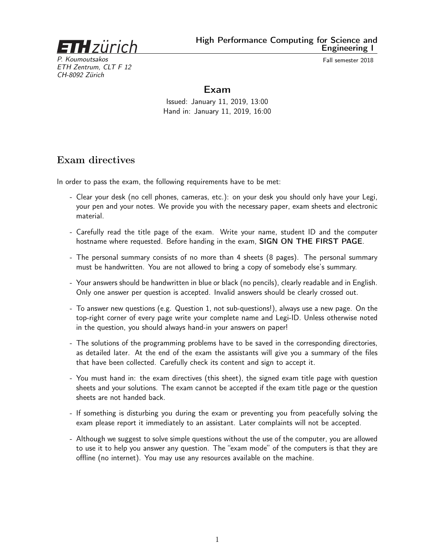

High Performance Computing for Science and Engineering I

P. Koumoutsakos Fall semester 2018 ETH Zentrum, CLT F 12 CH-8092 Zürich

## Exam

Issued: January 11, 2019, 13:00 Hand in: January 11, 2019, 16:00

## Exam directives

In order to pass the exam, the following requirements have to be met:

- Clear your desk (no cell phones, cameras, etc.): on your desk you should only have your Legi, your pen and your notes. We provide you with the necessary paper, exam sheets and electronic material.
- Carefully read the title page of the exam. Write your name, student ID and the computer hostname where requested. Before handing in the exam, SIGN ON THE FIRST PAGE.
- The personal summary consists of no more than 4 sheets (8 pages). The personal summary must be handwritten. You are not allowed to bring a copy of somebody else's summary.
- Your answers should be handwritten in blue or black (no pencils), clearly readable and in English. Only one answer per question is accepted. Invalid answers should be clearly crossed out.
- To answer new questions (e.g. Question 1, not sub-questions!), always use a new page. On the top-right corner of every page write your complete name and Legi-ID. Unless otherwise noted in the question, you should always hand-in your answers on paper!
- The solutions of the programming problems have to be saved in the corresponding directories, as detailed later. At the end of the exam the assistants will give you a summary of the files that have been collected. Carefully check its content and sign to accept it.
- You must hand in: the exam directives (this sheet), the signed exam title page with question sheets and your solutions. The exam cannot be accepted if the exam title page or the question sheets are not handed back.
- If something is disturbing you during the exam or preventing you from peacefully solving the exam please report it immediately to an assistant. Later complaints will not be accepted.
- Although we suggest to solve simple questions without the use of the computer, you are allowed to use it to help you answer any question. The "exam mode" of the computers is that they are offline (no internet). You may use any resources available on the machine.